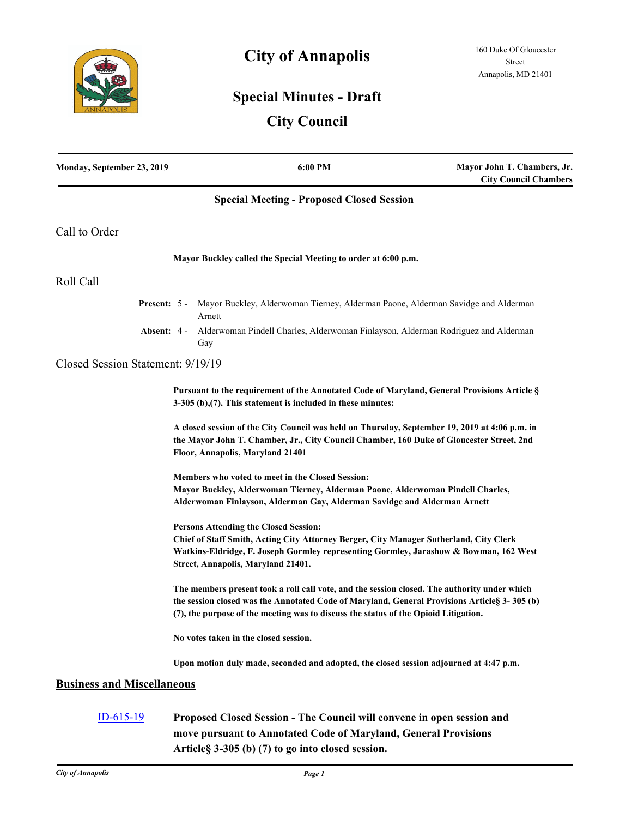

## **City of Annapolis**

## **Special Minutes - Draft**

## **City Council**

| Monday, September 23, 2019        |                                                                                                                                                                                                                               | 6:00 PM                                                                                                                                                                                                                                                                              | Mayor John T. Chambers, Jr.<br><b>City Council Chambers</b> |
|-----------------------------------|-------------------------------------------------------------------------------------------------------------------------------------------------------------------------------------------------------------------------------|--------------------------------------------------------------------------------------------------------------------------------------------------------------------------------------------------------------------------------------------------------------------------------------|-------------------------------------------------------------|
|                                   |                                                                                                                                                                                                                               | <b>Special Meeting - Proposed Closed Session</b>                                                                                                                                                                                                                                     |                                                             |
| Call to Order                     |                                                                                                                                                                                                                               |                                                                                                                                                                                                                                                                                      |                                                             |
|                                   |                                                                                                                                                                                                                               | Mayor Buckley called the Special Meeting to order at 6:00 p.m.                                                                                                                                                                                                                       |                                                             |
| Roll Call                         |                                                                                                                                                                                                                               |                                                                                                                                                                                                                                                                                      |                                                             |
|                                   |                                                                                                                                                                                                                               | Present: 5 - Mayor Buckley, Alderwoman Tierney, Alderman Paone, Alderman Savidge and Alderman<br>Arnett                                                                                                                                                                              |                                                             |
| <b>Absent: 4 -</b>                |                                                                                                                                                                                                                               | Alderwoman Pindell Charles, Alderwoman Finlayson, Alderman Rodriguez and Alderman<br>Gay                                                                                                                                                                                             |                                                             |
| Closed Session Statement: 9/19/19 |                                                                                                                                                                                                                               |                                                                                                                                                                                                                                                                                      |                                                             |
|                                   |                                                                                                                                                                                                                               | Pursuant to the requirement of the Annotated Code of Maryland, General Provisions Article §<br>$3-305$ (b),(7). This statement is included in these minutes:                                                                                                                         |                                                             |
|                                   | A closed session of the City Council was held on Thursday, September 19, 2019 at 4:06 p.m. in<br>the Mayor John T. Chamber, Jr., City Council Chamber, 160 Duke of Gloucester Street, 2nd<br>Floor, Annapolis, Maryland 21401 |                                                                                                                                                                                                                                                                                      |                                                             |
|                                   | Members who voted to meet in the Closed Session:<br>Mayor Buckley, Alderwoman Tierney, Alderman Paone, Alderwoman Pindell Charles,<br>Alderwoman Finlayson, Alderman Gay, Alderman Savidge and Alderman Arnett                |                                                                                                                                                                                                                                                                                      |                                                             |
|                                   |                                                                                                                                                                                                                               | <b>Persons Attending the Closed Session:</b><br>Chief of Staff Smith, Acting City Attorney Berger, City Manager Sutherland, City Clerk<br>Watkins-Eldridge, F. Joseph Gormley representing Gormley, Jarashow & Bowman, 162 West<br>Street, Annapolis, Maryland 21401.                |                                                             |
|                                   |                                                                                                                                                                                                                               | The members present took a roll call vote, and the session closed. The authority under which<br>the session closed was the Annotated Code of Maryland, General Provisions Article § 3-305 (b)<br>(7), the purpose of the meeting was to discuss the status of the Opioid Litigation. |                                                             |
|                                   |                                                                                                                                                                                                                               | No votes taken in the closed session.                                                                                                                                                                                                                                                |                                                             |
|                                   |                                                                                                                                                                                                                               | Upon motion duly made, seconded and adopted, the closed session adjourned at 4:47 p.m.                                                                                                                                                                                               |                                                             |
| <b>Business and Miscellaneous</b> |                                                                                                                                                                                                                               |                                                                                                                                                                                                                                                                                      |                                                             |
| $ID-615-19$                       |                                                                                                                                                                                                                               | Proposed Closed Session - The Council will convene in open session and<br>move pursuant to Annotated Code of Maryland, General Provisions                                                                                                                                            |                                                             |

**Article§ 3-305 (b) (7) to go into closed session.**